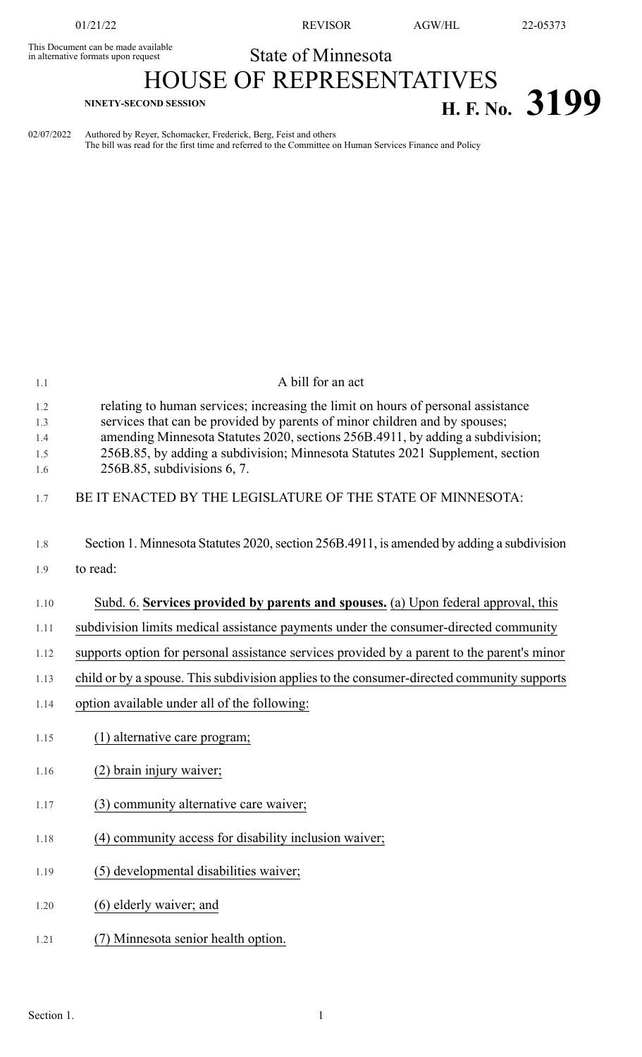This Document can be made available<br>in alternative formats upon request

01/21/22 REVISOR AGW/HL 22-05373

## State of Minnesota

## HOUSE OF REPRESENTATIVES **H. F. NO.** 3199

02/07/2022 Authored by Reyer, Schomacker, Frederick, Berg, Feist and others The bill was read for the first time and referred to the Committee on Human Services Finance and Policy

| 1.1                             | A bill for an act                                                                                                                                                                                                                                                                                                                                                   |
|---------------------------------|---------------------------------------------------------------------------------------------------------------------------------------------------------------------------------------------------------------------------------------------------------------------------------------------------------------------------------------------------------------------|
| 1.2<br>1.3<br>1.4<br>1.5<br>1.6 | relating to human services; increasing the limit on hours of personal assistance<br>services that can be provided by parents of minor children and by spouses;<br>amending Minnesota Statutes 2020, sections 256B.4911, by adding a subdivision;<br>256B.85, by adding a subdivision; Minnesota Statutes 2021 Supplement, section<br>$256B.85$ , subdivisions 6, 7. |
| 1.7                             | BE IT ENACTED BY THE LEGISLATURE OF THE STATE OF MINNESOTA:                                                                                                                                                                                                                                                                                                         |
| 1.8                             | Section 1. Minnesota Statutes 2020, section 256B.4911, is amended by adding a subdivision                                                                                                                                                                                                                                                                           |
| 1.9                             | to read:                                                                                                                                                                                                                                                                                                                                                            |
| 1.10                            | Subd. 6. Services provided by parents and spouses. (a) Upon federal approval, this                                                                                                                                                                                                                                                                                  |
| 1.11                            | subdivision limits medical assistance payments under the consumer-directed community                                                                                                                                                                                                                                                                                |
| 1.12                            | supports option for personal assistance services provided by a parent to the parent's minor                                                                                                                                                                                                                                                                         |
| 1.13                            | child or by a spouse. This subdivision applies to the consumer-directed community supports                                                                                                                                                                                                                                                                          |
| 1.14                            | option available under all of the following:                                                                                                                                                                                                                                                                                                                        |
| 1.15                            | (1) alternative care program;                                                                                                                                                                                                                                                                                                                                       |
| 1.16                            | (2) brain injury waiver;                                                                                                                                                                                                                                                                                                                                            |
| 1.17                            | (3) community alternative care waiver;                                                                                                                                                                                                                                                                                                                              |
| 1.18                            | (4) community access for disability inclusion waiver;                                                                                                                                                                                                                                                                                                               |
| 1.19                            | (5) developmental disabilities waiver;                                                                                                                                                                                                                                                                                                                              |
| 1.20                            | (6) elderly waiver; and                                                                                                                                                                                                                                                                                                                                             |
| 1.21                            | (7) Minnesota senior health option.                                                                                                                                                                                                                                                                                                                                 |
|                                 |                                                                                                                                                                                                                                                                                                                                                                     |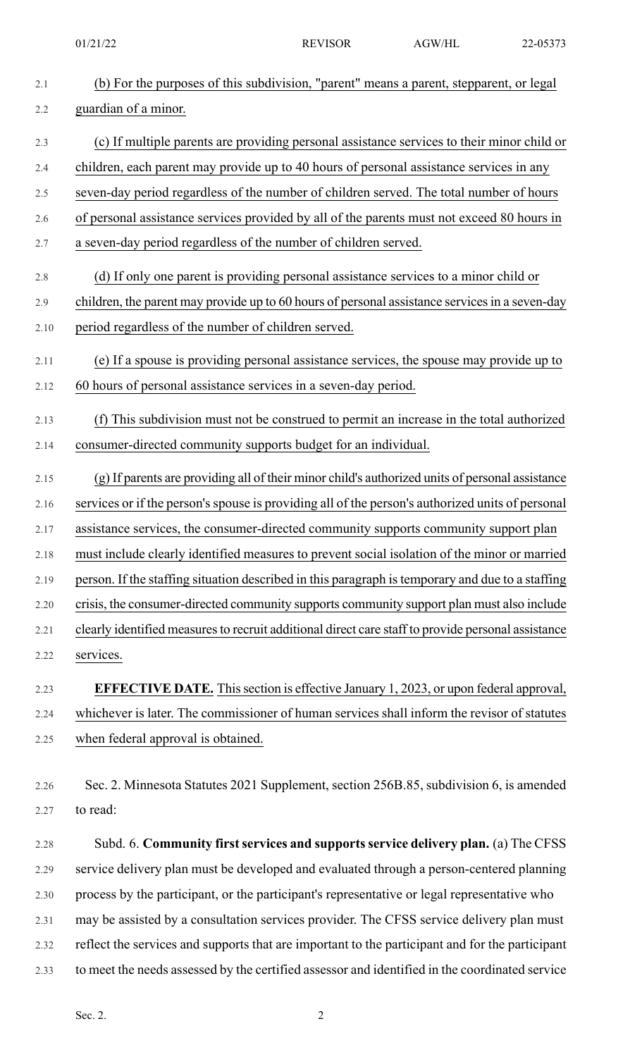01/21/22 REVISOR AGW/HL 22-05373

| 2.1  | (b) For the purposes of this subdivision, "parent" means a parent, stepparent, or legal            |
|------|----------------------------------------------------------------------------------------------------|
| 2.2  | guardian of a minor.                                                                               |
| 2.3  | (c) If multiple parents are providing personal assistance services to their minor child or         |
| 2.4  | children, each parent may provide up to 40 hours of personal assistance services in any            |
| 2.5  | seven-day period regardless of the number of children served. The total number of hours            |
| 2.6  | of personal assistance services provided by all of the parents must not exceed 80 hours in         |
| 2.7  | a seven-day period regardless of the number of children served.                                    |
| 2.8  | (d) If only one parent is providing personal assistance services to a minor child or               |
| 2.9  | children, the parent may provide up to 60 hours of personal assistance services in a seven-day     |
| 2.10 | period regardless of the number of children served.                                                |
| 2.11 | (e) If a spouse is providing personal assistance services, the spouse may provide up to            |
| 2.12 | 60 hours of personal assistance services in a seven-day period.                                    |
| 2.13 | (f) This subdivision must not be construed to permit an increase in the total authorized           |
| 2.14 | consumer-directed community supports budget for an individual.                                     |
| 2.15 | (g) If parents are providing all of their minor child's authorized units of personal assistance    |
| 2.16 | services or if the person's spouse is providing all of the person's authorized units of personal   |
| 2.17 | assistance services, the consumer-directed community supports community support plan               |
| 2.18 | must include clearly identified measures to prevent social isolation of the minor or married       |
| 2.19 | person. If the staffing situation described in this paragraph is temporary and due to a staffing   |
| 2.20 | crisis, the consumer-directed community supports community support plan must also include          |
| 2.21 | clearly identified measures to recruit additional direct care staff to provide personal assistance |
| 2.22 | services.                                                                                          |
| 2.23 | <b>EFFECTIVE DATE.</b> This section is effective January 1, 2023, or upon federal approval,        |
| 2.24 | whichever is later. The commissioner of human services shall inform the revisor of statutes        |
| 2.25 | when federal approval is obtained.                                                                 |
| 2.26 | Sec. 2. Minnesota Statutes 2021 Supplement, section 256B.85, subdivision 6, is amended             |
| 2.27 | to read:                                                                                           |
|      |                                                                                                    |
| 2.28 | Subd. 6. Community first services and supports service delivery plan. (a) The CFSS                 |
| 2.29 | service delivery plan must be developed and evaluated through a person-centered planning           |
| 2.30 | process by the participant, or the participant's representative or legal representative who        |
| 2.31 | may be assisted by a consultation services provider. The CFSS service delivery plan must           |
| 2.32 | reflect the services and supports that are important to the participant and for the participant    |
| 2.33 | to meet the needs assessed by the certified assessor and identified in the coordinated service     |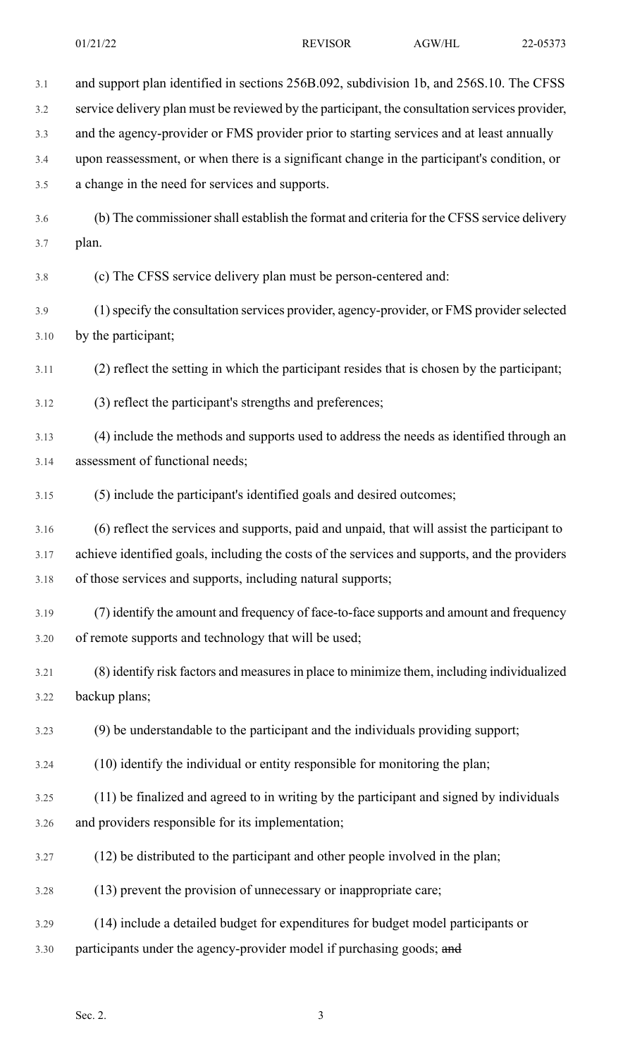| 3.1  | and support plan identified in sections 256B.092, subdivision 1b, and 256S.10. The CFSS        |
|------|------------------------------------------------------------------------------------------------|
| 3.2  | service delivery plan must be reviewed by the participant, the consultation services provider, |
| 3.3  | and the agency-provider or FMS provider prior to starting services and at least annually       |
| 3.4  | upon reassessment, or when there is a significant change in the participant's condition, or    |
| 3.5  | a change in the need for services and supports.                                                |
| 3.6  | (b) The commissioner shall establish the format and criteria for the CFSS service delivery     |
| 3.7  | plan.                                                                                          |
| 3.8  | (c) The CFSS service delivery plan must be person-centered and:                                |
| 3.9  | (1) specify the consultation services provider, agency-provider, or FMS provider selected      |
| 3.10 | by the participant;                                                                            |
| 3.11 | (2) reflect the setting in which the participant resides that is chosen by the participant;    |
| 3.12 | (3) reflect the participant's strengths and preferences;                                       |
| 3.13 | (4) include the methods and supports used to address the needs as identified through an        |
| 3.14 | assessment of functional needs;                                                                |
| 3.15 | (5) include the participant's identified goals and desired outcomes;                           |
| 3.16 | (6) reflect the services and supports, paid and unpaid, that will assist the participant to    |
| 3.17 | achieve identified goals, including the costs of the services and supports, and the providers  |
| 3.18 | of those services and supports, including natural supports;                                    |
| 3.19 | (7) identify the amount and frequency of face-to-face supports and amount and frequency        |
| 3.20 | of remote supports and technology that will be used;                                           |
| 3.21 | (8) identify risk factors and measures in place to minimize them, including individualized     |
| 3.22 | backup plans;                                                                                  |
| 3.23 | (9) be understandable to the participant and the individuals providing support;                |
| 3.24 | (10) identify the individual or entity responsible for monitoring the plan;                    |
| 3.25 | (11) be finalized and agreed to in writing by the participant and signed by individuals        |
| 3.26 | and providers responsible for its implementation;                                              |
| 3.27 | (12) be distributed to the participant and other people involved in the plan;                  |
| 3.28 | (13) prevent the provision of unnecessary or inappropriate care;                               |
| 3.29 | (14) include a detailed budget for expenditures for budget model participants or               |
| 3.30 | participants under the agency-provider model if purchasing goods; and                          |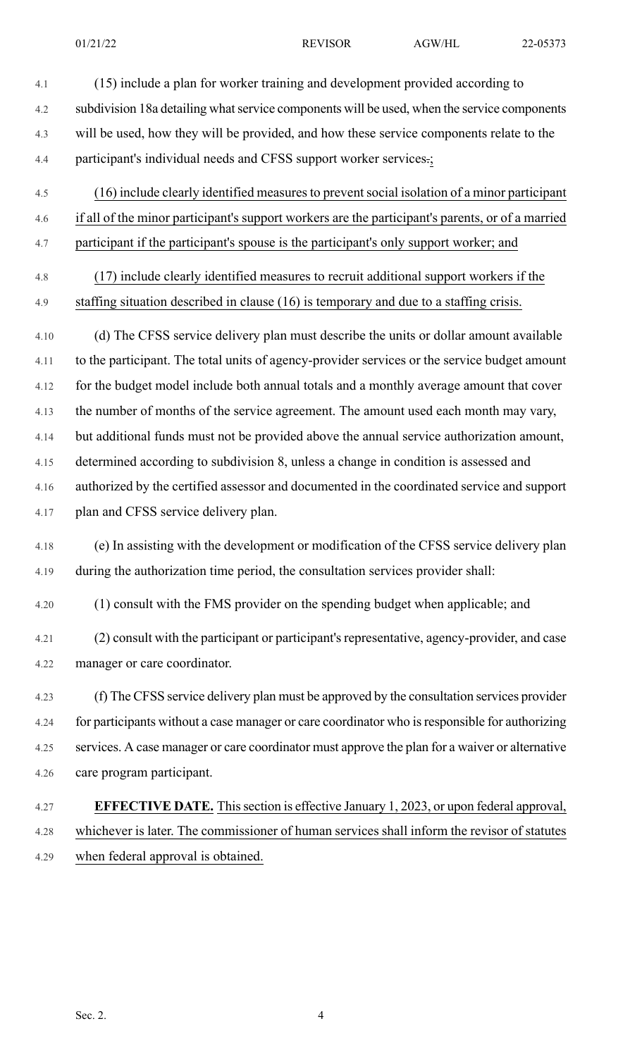4.1 (15) include a plan for worker training and development provided according to 4.2 subdivision 18a detailing what service components will be used, when the service components 4.3 will be used, how they will be provided, and how these service components relate to the 4.4 participant's individual needs and CFSS support worker services.; 4.5 (16) include clearly identified measuresto preventsocial isolation of a minor participant 4.6 if all of the minor participant's support workers are the participant's parents, or of a married 4.7 participant if the participant's spouse is the participant's only support worker; and 4.8 (17) include clearly identified measures to recruit additional support workers if the 4.9 staffing situation described in clause (16) is temporary and due to a staffing crisis. 4.10 (d) The CFSS service delivery plan must describe the units or dollar amount available 4.11 to the participant. The total units of agency-provider services or the service budget amount 4.12 for the budget model include both annual totals and a monthly average amount that cover 4.13 the number of months of the service agreement. The amount used each month may vary, 4.14 but additional funds must not be provided above the annual service authorization amount, 4.15 determined according to subdivision 8, unless a change in condition is assessed and 4.16 authorized by the certified assessor and documented in the coordinated service and support 4.17 plan and CFSS service delivery plan. 4.18 (e) In assisting with the development or modification of the CFSS service delivery plan 4.19 during the authorization time period, the consultation services provider shall: 4.20 (1) consult with the FMS provider on the spending budget when applicable; and 4.21 (2) consult with the participant or participant's representative, agency-provider, and case 4.22 manager or care coordinator. 4.23 (f) The CFSS service delivery plan must be approved by the consultation services provider 4.24 for participants without a case manager or care coordinator who isresponsible for authorizing 4.25 services. A case manager or care coordinator must approve the plan for a waiver or alternative 4.26 care program participant. 4.27 **EFFECTIVE DATE.** Thissection is effective January 1, 2023, or upon federal approval, 4.28 whichever is later. The commissioner of human services shall inform the revisor of statutes 4.29 when federal approval is obtained.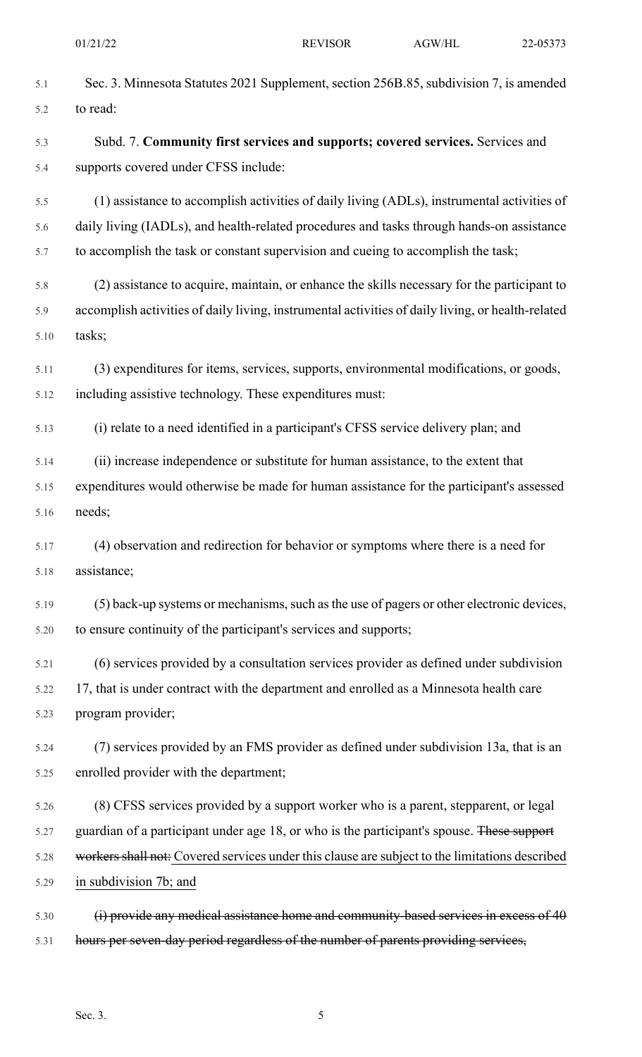| 5.1  | Sec. 3. Minnesota Statutes 2021 Supplement, section 256B.85, subdivision 7, is amended            |
|------|---------------------------------------------------------------------------------------------------|
| 5.2  | to read:                                                                                          |
| 5.3  | Subd. 7. Community first services and supports; covered services. Services and                    |
| 5.4  | supports covered under CFSS include:                                                              |
| 5.5  | (1) assistance to accomplish activities of daily living (ADLs), instrumental activities of        |
| 5.6  | daily living (IADLs), and health-related procedures and tasks through hands-on assistance         |
| 5.7  | to accomplish the task or constant supervision and cueing to accomplish the task;                 |
| 5.8  | (2) assistance to acquire, maintain, or enhance the skills necessary for the participant to       |
| 5.9  | accomplish activities of daily living, instrumental activities of daily living, or health-related |
| 5.10 | tasks;                                                                                            |
| 5.11 | (3) expenditures for items, services, supports, environmental modifications, or goods,            |
| 5.12 | including assistive technology. These expenditures must:                                          |
| 5.13 | (i) relate to a need identified in a participant's CFSS service delivery plan; and                |
| 5.14 | (ii) increase independence or substitute for human assistance, to the extent that                 |
| 5.15 | expenditures would otherwise be made for human assistance for the participant's assessed          |
| 5.16 | needs;                                                                                            |
| 5.17 | (4) observation and redirection for behavior or symptoms where there is a need for                |
| 5.18 | assistance;                                                                                       |
| 5.19 | (5) back-up systems or mechanisms, such as the use of pagers or other electronic devices,         |
| 5.20 | to ensure continuity of the participant's services and supports;                                  |
| 5.21 | (6) services provided by a consultation services provider as defined under subdivision            |
| 5.22 | 17, that is under contract with the department and enrolled as a Minnesota health care            |
| 5.23 | program provider;                                                                                 |
| 5.24 | (7) services provided by an FMS provider as defined under subdivision 13a, that is an             |
| 5.25 | enrolled provider with the department;                                                            |
| 5.26 | (8) CFSS services provided by a support worker who is a parent, stepparent, or legal              |
| 5.27 | guardian of a participant under age 18, or who is the participant's spouse. These support         |
| 5.28 | workers shall not: Covered services under this clause are subject to the limitations described    |
| 5.29 | in subdivision 7b; and                                                                            |
| 5.30 | (i) provide any medical assistance home and community-based services in excess of 40              |
| 5.31 | hours per seven-day period regardless of the number of parents providing services,                |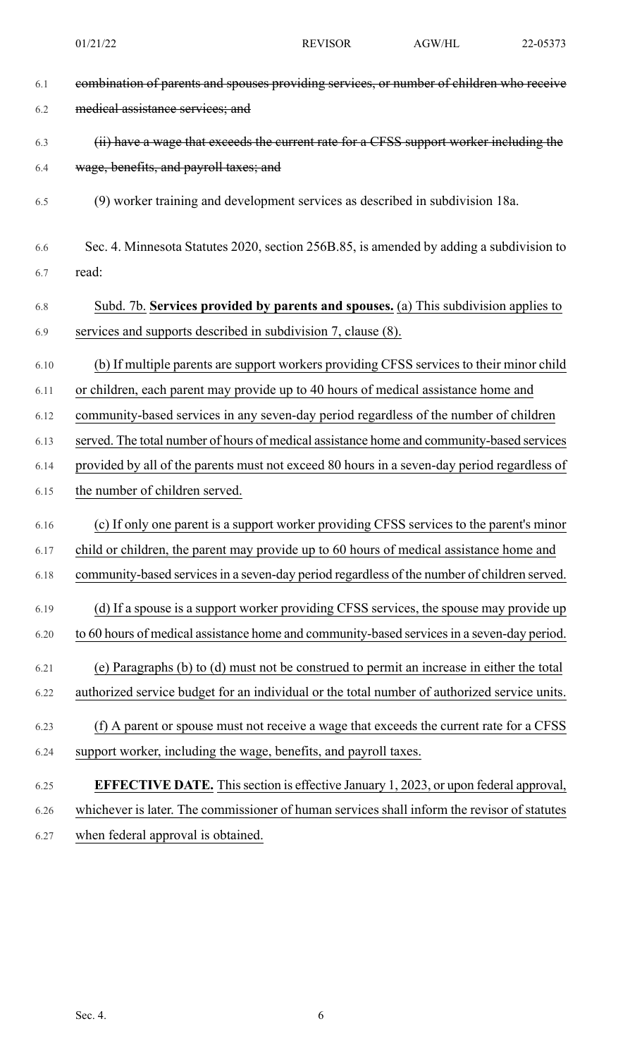| 6.1  | combination of parents and spouses providing services, or number of children who receive     |
|------|----------------------------------------------------------------------------------------------|
| 6.2  | medical assistance services; and                                                             |
| 6.3  | (ii) have a wage that exceeds the current rate for a CFSS support worker including the       |
| 6.4  | wage, benefits, and payroll taxes; and                                                       |
| 6.5  | (9) worker training and development services as described in subdivision 18a.                |
| 6.6  | Sec. 4. Minnesota Statutes 2020, section 256B.85, is amended by adding a subdivision to      |
| 6.7  | read:                                                                                        |
| 6.8  | Subd. 7b. Services provided by parents and spouses. (a) This subdivision applies to          |
| 6.9  | services and supports described in subdivision 7, clause (8).                                |
| 6.10 | (b) If multiple parents are support workers providing CFSS services to their minor child     |
| 6.11 | or children, each parent may provide up to 40 hours of medical assistance home and           |
| 6.12 | community-based services in any seven-day period regardless of the number of children        |
| 6.13 | served. The total number of hours of medical assistance home and community-based services    |
| 6.14 | provided by all of the parents must not exceed 80 hours in a seven-day period regardless of  |
| 6.15 | the number of children served.                                                               |
| 6.16 | (c) If only one parent is a support worker providing CFSS services to the parent's minor     |
| 6.17 | child or children, the parent may provide up to 60 hours of medical assistance home and      |
| 6.18 | community-based services in a seven-day period regardless of the number of children served.  |
| 6.19 | (d) If a spouse is a support worker providing CFSS services, the spouse may provide up       |
| 6.20 | to 60 hours of medical assistance home and community-based services in a seven-day period.   |
| 6.21 | (e) Paragraphs (b) to (d) must not be construed to permit an increase in either the total    |
| 6.22 | authorized service budget for an individual or the total number of authorized service units. |
| 6.23 | (f) A parent or spouse must not receive a wage that exceeds the current rate for a CFSS      |
| 6.24 | support worker, including the wage, benefits, and payroll taxes.                             |
| 6.25 | EFFECTIVE DATE. This section is effective January 1, 2023, or upon federal approval,         |
| 6.26 | whichever is later. The commissioner of human services shall inform the revisor of statutes  |
| 6.27 | when federal approval is obtained.                                                           |